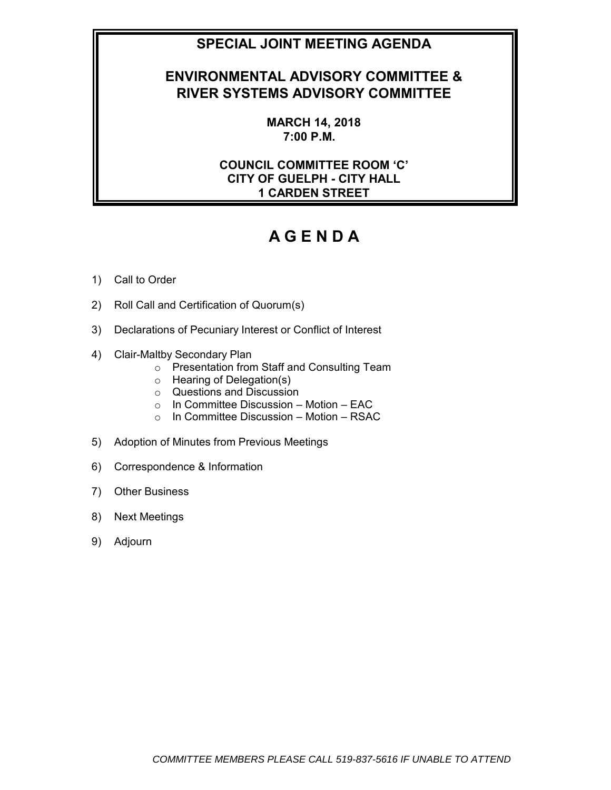## **SPECIAL JOINT MEETING AGENDA**

## **ENVIRONMENTAL ADVISORY COMMITTEE & RIVER SYSTEMS ADVISORY COMMITTEE**

**MARCH 14, 2018 7:00 P.M.**

### **COUNCIL COMMITTEE ROOM 'C' CITY OF GUELPH - CITY HALL 1 CARDEN STREET**

# **A G E N D A**

### 1) Call to Order

- 2) Roll Call and Certification of Quorum(s)
- 3) Declarations of Pecuniary Interest or Conflict of Interest
- 4) Clair-Maltby Secondary Plan
	- o Presentation from Staff and Consulting Team
	- o Hearing of Delegation(s)
	- o Questions and Discussion
	- $\circ$  In Committee Discussion Motion EAC
	- $\circ$  In Committee Discussion Motion RSAC
- 5) Adoption of Minutes from Previous Meetings
- 6) Correspondence & Information
- 7) Other Business
- 8) Next Meetings
- 9) Adjourn